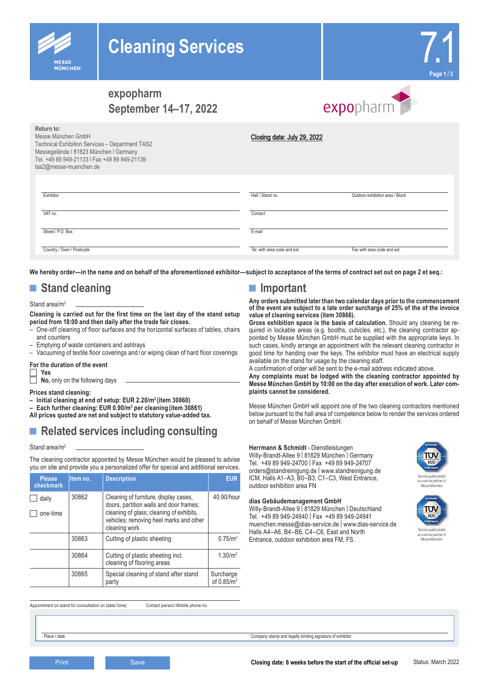# **Cleaning Services**



# 7.1 **Page 1 / 3**

## **expopharm September 14–17, 2022**



| Return to:<br>Messe München GmbH<br>Technical Exhibition Services - Department TAS2<br>Messegelände I 81823 München I Germany<br>Tel. +49 89 949-21133   Fax +49 89 949-21139<br>tas2@messe-muenchen.de | Closing date: July 29, 2022  |                                 |
|---------------------------------------------------------------------------------------------------------------------------------------------------------------------------------------------------------|------------------------------|---------------------------------|
| Exhibitor                                                                                                                                                                                               | Hall / Stand no.             | Outdoor exhibition area / Block |
| VAT no.                                                                                                                                                                                                 | Contact                      |                                 |
| Street / P.O. Box                                                                                                                                                                                       | E-mail                       |                                 |
| Country / Town / Postcode                                                                                                                                                                               | Tel, with area code and ext. | Fax with area code and ext.     |

**We hereby order—in the name and on behalf of the aforementioned exhibitor—subject to acceptance of the terms of contract set out on page 2 et seq.:**

## ■ **Stand cleaning**

## Stand area/m<sup>2</sup>

## **Cleaning is carried out for the first time on the last day of the stand setup period from 18:00 and then daily after the trade fair closes.**

- One-off cleaning of floor surfaces and the horizontal surfaces of tables, chairs and counters
- Emptying of waste containers and ashtrays
- Vacuuming of textile floor coverings and / or wiping clean of hard floor coverings

#### **For the duration of the event Yes**

**No,** only on the following days

#### **Prices stand cleaning:**

- **– Initial cleaning at end of setup: EUR 2.20/m2 (item 30860)**
- **– Each further cleaning: EUR 0.90/m2 per cleaning (item 30861)**
- **All prices quoted are net and subject to statutory value-added tax.**

# **■ Related services including consulting**

#### Stand area/m<sup>2</sup>

The cleaning contractor appointed by Messe München would be pleased to advise you on site and provide you a personalized offer for special and additional services.

| <b>Please</b><br>checkmark | Item no. | <b>Description</b>                                                                                                                                                                       | <b>EUR</b>                          |
|----------------------------|----------|------------------------------------------------------------------------------------------------------------------------------------------------------------------------------------------|-------------------------------------|
| daily<br>one-time          | 30862    | Cleaning of furniture, display cases,<br>doors, partition walls and door frames;<br>cleaning of glass; cleaning of exhibits,<br>vehicles; removing heel marks and other<br>cleaning work | 40.90/hour                          |
|                            | 30863    | Cutting of plastic sheeting                                                                                                                                                              | 0.75/m <sup>2</sup>                 |
|                            | 30864    | Cutting of plastic sheeting incl.<br>cleaning of flooring areas                                                                                                                          | 1.30/m <sup>2</sup>                 |
|                            | 30865    | Special cleaning of stand after stand<br>party                                                                                                                                           | Surcharge<br>of 0.85/m <sup>2</sup> |

**■ Important**

**Any orders submitted later than two calendar days prior to the commencement of the event are subject to a late order surcharge of 25% of the of the invoice value of cleaning services (item 30866).**

**Gross exhibition space is the basis of calculation.** Should any cleaning be required in lockable areas (e.g. booths, cubicles, etc.), the cleaning contractor appointed by Messe München GmbH must be supplied with the appropriate keys. In such cases, kindly arrange an appointment with the relevant cleaning contractor in good time for handing over the keys. The exhibitor must have an electrical supply available on the stand for usage by the cleaning staff.

A confirmation of order will be sent to the e-mail address indicated above.

**Any complaints must be lodged with the cleaning contractor appointed by Messe München GmbH by 10:00 on the day after execution of work. Later complaints cannot be considered.**

Messe München GmbH will appoint one of the two cleaning contractors mentioned below pursuant to the hall area of competence below to render the services ordered on behalf of Messe München GmbH:

## **Herrmann & Schmidt** - Dienstleistungen Willy-Brandt-Allee 9 | 81829 München | Germany Tel. +49 89 949-24700 | Fax +49 89 949-24707

orders@standreinigung.de | www.standreinigung.de ICM, Halls A1–A3, B0–B3, C1–C3, West Entrance, outdoor exhibition area FN

## **dias Gebäudemanagement GmbH**

Willy-Brandt-Allee 9 | 81829 München | Deutschland Tel. +49 89 949-24940 | Fax +49 89 949-24941 muenchen.messe@dias-service.de | www.dias-service.de Halls A4–A6, B4–B6, C4–C6, East and North Entrance, outdoor exhibition area FM, FS.



Service quality tested as a service partner of Messe München



as a service partner of Messe München

Appointment on stand for consultation on (date / time) Contact person / Mobile phone no.

Place / date Company stamp and legally binding signature of exhibitor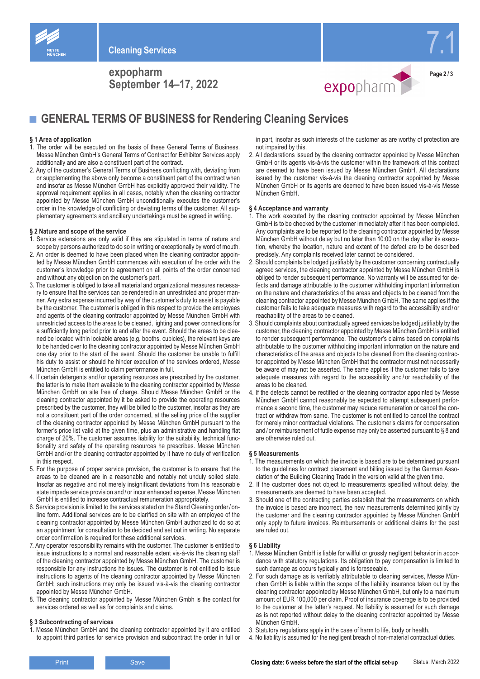

**expopharm September 14–17, 2022**





7.1

■ **GENERAL TERMS OF BUSINESS for Rendering Cleaning Services** 

## **§ 1 Area of application**

- 1. The order will be executed on the basis of these General Terms of Business. Messe München GmbH's General Terms of Contract for Exhibitor Services apply additionally and are also a constituent part of the contract.
- 2. Any of the customer's General Terms of Business conflicting with, deviating from or supplementing the above only become a constituent part of the contract when and insofar as Messe München GmbH has explicitly approved their validity. The approval requirement applies in all cases, notably when the cleaning contractor appointed by Messe München GmbH unconditionally executes the customer's order in the knowledge of conflicting or deviating terms of the customer. All supplementary agreements and ancillary undertakings must be agreed in writing.

## **§ 2 Nature and scope of the service**

- 1. Service extensions are only valid if they are stipulated in terms of nature and scope by persons authorized to do so in writing or exceptionally by word of mouth.
- 2. An order is deemed to have been placed when the cleaning contractor appointed by Messe München GmbH commences with execution of the order with the customer's knowledge prior to agreement on all points of the order concerned and without any objection on the customer's part.
- 3. The customer is obliged to take all material and organizational measures necessary to ensure that the services can be rendered in an unrestricted and proper manner. Any extra expense incurred by way of the customer's duty to assist is payable by the customer. The customer is obliged in this respect to provide the employees and agents of the cleaning contractor appointed by Messe München GmbH with unrestricted access to the areas to be cleaned, lighting and power connections for a sufficiently long period prior to and after the event. Should the areas to be cleaned be located within lockable areas (e.g. booths, cubicles), the relevant keys are to be handed over to the cleaning contractor appointed by Messe München GmbH one day prior to the start of the event. Should the customer be unable to fulfill his duty to assist or should he hinder execution of the services ordered, Messe München GmbH is entitled to claim performance in full.
- 4. If certain detergents and / or operating resources are prescribed by the customer, the latter is to make them available to the cleaning contractor appointed by Messe München GmbH on site free of charge. Should Messe München GmbH or the cleaning contractor appointed by it be asked to provide the operating resources prescribed by the customer, they will be billed to the customer, insofar as they are not a constituent part of the order concerned, at the selling price of the supplier of the cleaning contractor appointed by Messe München GmbH pursuant to the former's price list valid at the given time, plus an administrative and handling flat charge of 20%. The customer assumes liability for the suitability, technical functionality and safety of the operating resources he prescribes. Messe München GmbH and / or the cleaning contractor appointed by it have no duty of verification in this respect.
- 5. For the purpose of proper service provision, the customer is to ensure that the areas to be cleaned are in a reasonable and notably not unduly soiled state. Insofar as negative and not merely insignificant deviations from this reasonable state impede service provision and / or incur enhanced expense, Messe München GmbH is entitled to increase contractual remuneration appropriately.
- 6. Service provision is limited to the services stated on the Stand Cleaning order/ online form. Additional services are to be clarified on site with an employee of the cleaning contractor appointed by Messe München GmbH authorized to do so at an appointment for consultation to be decided and set out in writing. No separate order confirmation is required for these additional services.
- 7. Any operator responsibility remains with the customer. The customer is entitled to issue instructions to a normal and reasonable extent vis-à-vis the cleaning staff of the cleaning contractor appointed by Messe München GmbH. The customer is responsible for any instructions he issues. The customer is not entitled to issue instructions to agents of the cleaning contractor appointed by Messe München GmbH; such instructions may only be issued vis-à-vis the cleaning contractor appointed by Messe München GmbH.
- 8. The cleaning contractor appointed by Messe München Gmbh is the contact for services ordered as well as for complaints and claims.

## **§ 3 Subcontracting of services**

1. Messe München GmbH and the cleaning contractor appointed by it are entitled to appoint third parties for service provision and subcontract the order in full or in part, insofar as such interests of the customer as are worthy of protection are not impaired by this.

2. All declarations issued by the cleaning contractor appointed by Messe München GmbH or its agents vis-à-vis the customer within the framework of this contract are deemed to have been issued by Messe München GmbH. All declarations issued by the customer vis-à-vis the cleaning contractor appointed by Messe München GmbH or its agents are deemed to have been issued vis-à-vis Messe München GmbH.

#### **§ 4 Acceptance and warranty**

- 1. The work executed by the cleaning contractor appointed by Messe München GmbH is to be checked by the customer immediately after it has been completed. Any complaints are to be reported to the cleaning contractor appointed by Messe München GmbH without delay but no later than 10:00 on the day after its execution, whereby the location, nature and extent of the defect are to be described precisely. Any complaints received later cannot be considered.
- 2. Should complaints be lodged justifiably by the customer concerning contractually agreed services, the cleaning contractor appointed by Messe München GmbH is obliged to render subsequent performance. No warranty will be assumed for defects and damage attributable to the customer withholding important information on the nature and characteristics of the areas and objects to be cleaned from the cleaning contractor appointed by Messe München GmbH. The same applies if the customer fails to take adequate measures with regard to the accessibility and / or reachability of the areas to be cleaned.
- 3. Should complaints about contractually agreed services be lodged justifiably by the customer, the cleaning contractor appointed by Messe München GmbH is entitled to render subsequent performance. The customer's claims based on complaints attributable to the customer withholding important information on the nature and characteristics of the areas and objects to be cleaned from the cleaning contractor appointed by Messe München GmbH that the contractor must not necessarily be aware of may not be asserted. The same applies if the customer fails to take adequate measures with regard to the accessibility and / or reachability of the areas to be cleaned.
- 4. If the defects cannot be rectified or the cleaning contractor appointed by Messe München GmbH cannot reasonably be expected to attempt subsequent performance a second time, the customer may reduce remuneration or cancel the contract or withdraw from same. The customer is not entitled to cancel the contract for merely minor contractual violations. The customer's claims for compensation and / or reimbursement of futile expense may only be asserted pursuant to § 8 and are otherwise ruled out.

## **§ 5 Measurements**

- . The measurements on which the invoice is based are to be determined pursuant to the guidelines for contract placement and billing issued by the German Association of the Building Cleaning Trade in the version valid at the given time.
- 2. If the customer does not object to measurements specified without delay, the measurements are deemed to have been accepted.
- 3. Should one of the contracting parties establish that the measurements on which the invoice is based are incorrect, the new measurements determined jointly by the customer and the cleaning contractor appointed by Messe München GmbH only apply to future invoices. Reimbursements or additional claims for the past are ruled out.

## **§ 6 Liability**

- 1. Messe München GmbH is liable for willful or grossly negligent behavior in accordance with statutory regulations. Its obligation to pay compensation is limited to such damage as occurs typically and is foreseeable.
- 2. For such damage as is verifiably attributable to cleaning services, Messe München GmbH is liable within the scope of the liability insurance taken out by the cleaning contractor appointed by Messe München GmbH, but only to a maximum amount of EUR 100,000 per claim. Proof of insurance coverage is to be provided to the customer at the latter's request. No liability is assumed for such damage as is not reported without delay to the cleaning contractor appointed by Messe München GmbH.
- 3. Statutory regulations apply in the case of harm to life, body or health.
- 4. No liability is assumed for the negligent breach of non-material contractual duties.